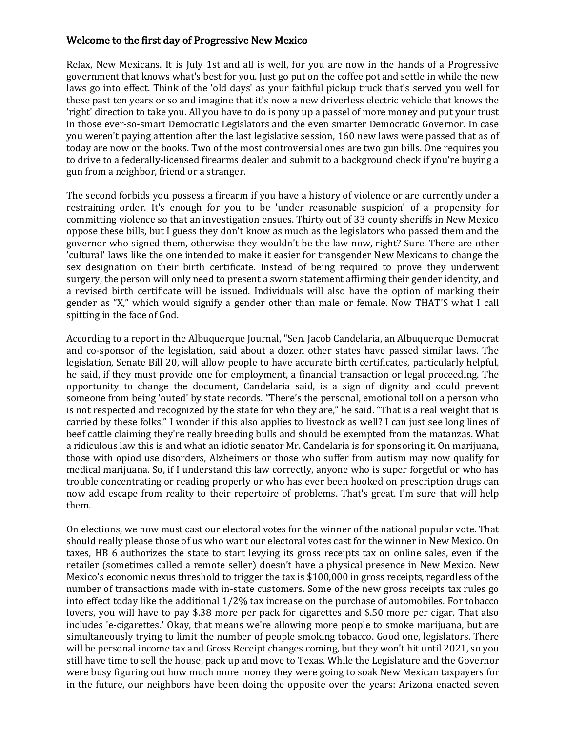## Welcome to the first day of Progressive New Mexico

Relax, New Mexicans. It is July 1st and all is well, for you are now in the hands of a Progressive government that knows what's best for you. Just go put on the coffee pot and settle in while the new laws go into effect. Think of the 'old days' as your faithful pickup truck that's served you well for these past ten years or so and imagine that it's now a new driverless electric vehicle that knows the 'right' direction to take you. All you have to do is pony up a passel of more money and put your trust in those ever-so-smart Democratic Legislators and the even smarter Democratic Governor. In case you weren't paying attention after the last legislative session, 160 new laws were passed that as of today are now on the books. Two of the most controversial ones are two gun bills. One requires you to drive to a federally-licensed firearms dealer and submit to a background check if you're buying a gun from a neighbor, friend or a stranger.

The second forbids you possess a firearm if you have a history of violence or are currently under a restraining order. It's enough for you to be 'under reasonable suspicion' of a propensity for committing violence so that an investigation ensues. Thirty out of 33 county sheriffs in New Mexico oppose these bills, but I guess they don't know as much as the legislators who passed them and the governor who signed them, otherwise they wouldn't be the law now, right? Sure. There are other 'cultural' laws like the one intended to make it easier for transgender New Mexicans to change the sex designation on their birth certificate. Instead of being required to prove they underwent surgery, the person will only need to present a sworn statement affirming their gender identity, and a revised birth certificate will be issued. Individuals will also have the option of marking their gender as "X," which would signify a gender other than male or female. Now THAT'S what I call spitting in the face of God.

According to a report in the Albuquerque Journal, "Sen. Jacob Candelaria, an Albuquerque Democrat and co-sponsor of the legislation, said about a dozen other states have passed similar laws. The legislation, Senate Bill 20, will allow people to have accurate birth certificates, particularly helpful, he said, if they must provide one for employment, a financial transaction or legal proceeding. The opportunity to change the document, Candelaria said, is a sign of dignity and could prevent someone from being 'outed' by state records. "There's the personal, emotional toll on a person who is not respected and recognized by the state for who they are," he said. "That is a real weight that is carried by these folks." I wonder if this also applies to livestock as well? I can just see long lines of beef cattle claiming they're really breeding bulls and should be exempted from the matanzas. What a ridiculous law this is and what an idiotic senator Mr. Candelaria is for sponsoring it. On marijuana, those with opiod use disorders, Alzheimers or those who suffer from autism may now qualify for medical marijuana. So, if I understand this law correctly, anyone who is super forgetful or who has trouble concentrating or reading properly or who has ever been hooked on prescription drugs can now add escape from reality to their repertoire of problems. That's great. I'm sure that will help them.

On elections, we now must cast our electoral votes for the winner of the national popular vote. That should really please those of us who want our electoral votes cast for the winner in New Mexico. On taxes, HB 6 authorizes the state to start levying its gross receipts tax on online sales, even if the retailer (sometimes called a remote seller) doesn't have a physical presence in New Mexico. New Mexico's economic nexus threshold to trigger the tax is \$100,000 in gross receipts, regardless of the number of transactions made with in-state customers. Some of the new gross receipts tax rules go into effect today like the additional 1/2% tax increase on the purchase of automobiles. For tobacco lovers, you will have to pay \$.38 more per pack for cigarettes and \$.50 more per cigar. That also includes 'e-cigarettes.' Okay, that means we're allowing more people to smoke marijuana, but are simultaneously trying to limit the number of people smoking tobacco. Good one, legislators. There will be personal income tax and Gross Receipt changes coming, but they won't hit until 2021, so you still have time to sell the house, pack up and move to Texas. While the Legislature and the Governor were busy figuring out how much more money they were going to soak New Mexican taxpayers for in the future, our neighbors have been doing the opposite over the years: Arizona enacted seven